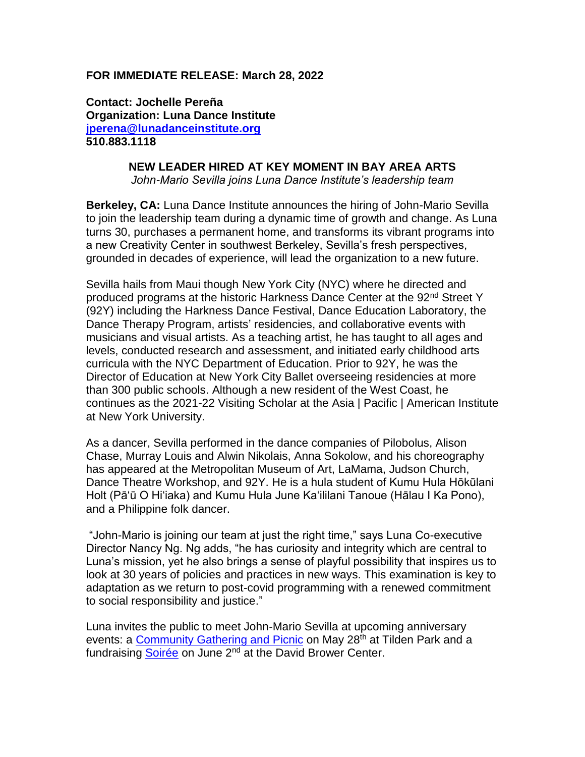## **FOR IMMEDIATE RELEASE: March 28, 2022**

**Contact: Jochelle Pereña Organization: Luna Dance Institute [jperena@lunadanceinstitute.org](mailto:jperena@lunadanceinstitute.org) 510.883.1118**

## **NEW LEADER HIRED AT KEY MOMENT IN BAY AREA ARTS**

*John-Mario Sevilla joins Luna Dance Institute's leadership team*

**Berkeley, CA:** Luna Dance Institute announces the hiring of John-Mario Sevilla to join the leadership team during a dynamic time of growth and change. As Luna turns 30, purchases a permanent home, and transforms its vibrant programs into a new Creativity Center in southwest Berkeley, Sevilla's fresh perspectives, grounded in decades of experience, will lead the organization to a new future.

Sevilla hails from Maui though New York City (NYC) where he directed and produced programs at the historic Harkness Dance Center at the 92<sup>nd</sup> Street Y (92Y) including the Harkness Dance Festival, Dance Education Laboratory, the Dance Therapy Program, artists' residencies, and collaborative events with musicians and visual artists. As a teaching artist, he has taught to all ages and levels, conducted research and assessment, and initiated early childhood arts curricula with the NYC Department of Education. Prior to 92Y, he was the Director of Education at New York City Ballet overseeing residencies at more than 300 public schools. Although a new resident of the West Coast, he continues as the 2021-22 Visiting Scholar at the Asia | Pacific | American Institute at New York University.

As a dancer, Sevilla performed in the dance companies of Pilobolus, Alison Chase, Murray Louis and Alwin Nikolais, Anna Sokolow, and his choreography has appeared at the Metropolitan Museum of Art, LaMama, Judson Church, Dance Theatre Workshop, and 92Y. He is a hula student of Kumu Hula Hōkūlani Holt (Pāʻū O Hiʻiaka) and Kumu Hula June Ka'ililani Tanoue (Hālau I Ka Pono), and a Philippine folk dancer.

"John-Mario is joining our team at just the right time," says Luna Co-executive Director Nancy Ng. Ng adds, "he has curiosity and integrity which are central to Luna's mission, yet he also brings a sense of playful possibility that inspires us to look at 30 years of policies and practices in new ways. This examination is key to adaptation as we return to post-covid programming with a renewed commitment to social responsibility and justice."

Luna invites the public to meet John-Mario Sevilla at upcoming anniversary events: a [Community Gathering and](https://lunadanceinstitute.org/product/community-picnic/) Picnic on May 28<sup>th</sup> at Tilden Park and a fundraising [Soirée](https://lunadanceinstitute.org/30th-anniversary/) on June 2<sup>nd</sup> at the David Brower Center.